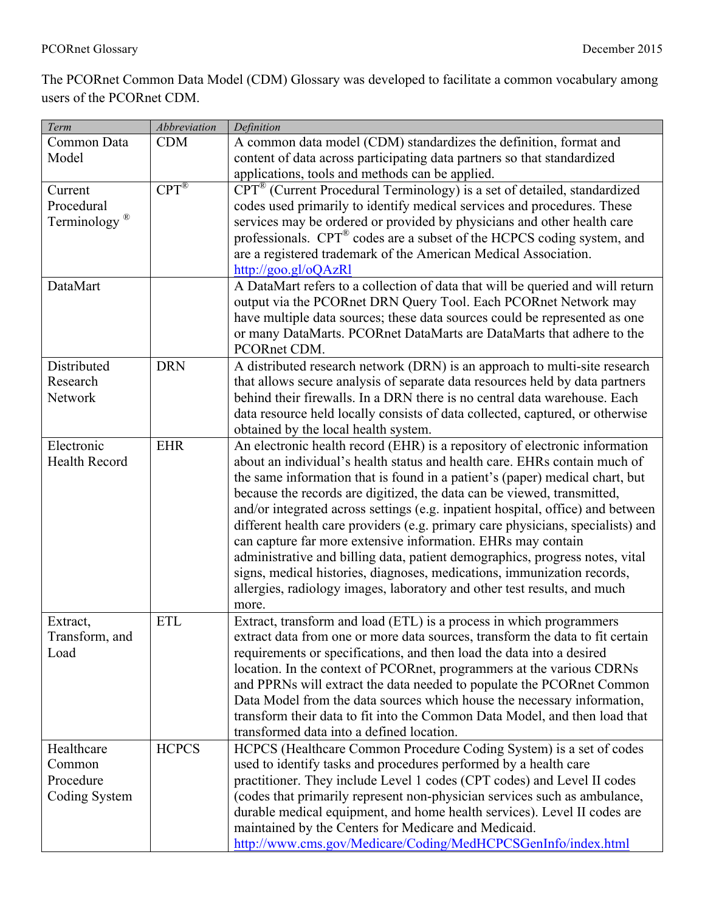The PCORnet Common Data Model (CDM) Glossary was developed to facilitate a common vocabulary among users of the PCORnet CDM.

| Term                     | <b>Abbreviation</b> | Definition                                                                           |
|--------------------------|---------------------|--------------------------------------------------------------------------------------|
| Common Data              | <b>CDM</b>          | A common data model (CDM) standardizes the definition, format and                    |
| Model                    |                     | content of data across participating data partners so that standardized              |
|                          |                     | applications, tools and methods can be applied.                                      |
| Current                  | $CPT^{\circledR}$   | CPT <sup>®</sup> (Current Procedural Terminology) is a set of detailed, standardized |
| Procedural               |                     | codes used primarily to identify medical services and procedures. These              |
| Terminology <sup>®</sup> |                     | services may be ordered or provided by physicians and other health care              |
|                          |                     | professionals. CPT® codes are a subset of the HCPCS coding system, and               |
|                          |                     | are a registered trademark of the American Medical Association.                      |
|                          |                     | http://goo.gl/oQAzRl                                                                 |
| DataMart                 |                     | A DataMart refers to a collection of data that will be queried and will return       |
|                          |                     | output via the PCORnet DRN Query Tool. Each PCORnet Network may                      |
|                          |                     | have multiple data sources; these data sources could be represented as one           |
|                          |                     | or many DataMarts. PCORnet DataMarts are DataMarts that adhere to the                |
|                          |                     | PCORnet CDM.                                                                         |
| Distributed              | <b>DRN</b>          | A distributed research network (DRN) is an approach to multi-site research           |
| Research                 |                     | that allows secure analysis of separate data resources held by data partners         |
| Network                  |                     | behind their firewalls. In a DRN there is no central data warehouse. Each            |
|                          |                     | data resource held locally consists of data collected, captured, or otherwise        |
|                          |                     | obtained by the local health system.                                                 |
| Electronic               | <b>EHR</b>          | An electronic health record (EHR) is a repository of electronic information          |
| <b>Health Record</b>     |                     | about an individual's health status and health care. EHRs contain much of            |
|                          |                     | the same information that is found in a patient's (paper) medical chart, but         |
|                          |                     | because the records are digitized, the data can be viewed, transmitted,              |
|                          |                     | and/or integrated across settings (e.g. inpatient hospital, office) and between      |
|                          |                     | different health care providers (e.g. primary care physicians, specialists) and      |
|                          |                     | can capture far more extensive information. EHRs may contain                         |
|                          |                     | administrative and billing data, patient demographics, progress notes, vital         |
|                          |                     | signs, medical histories, diagnoses, medications, immunization records,              |
|                          |                     | allergies, radiology images, laboratory and other test results, and much             |
|                          |                     | more.                                                                                |
| Extract,                 | <b>ETL</b>          | Extract, transform and load (ETL) is a process in which programmers                  |
| Transform, and           |                     | extract data from one or more data sources, transform the data to fit certain        |
| Load                     |                     | requirements or specifications, and then load the data into a desired                |
|                          |                     | location. In the context of PCORnet, programmers at the various CDRNs                |
|                          |                     | and PPRNs will extract the data needed to populate the PCORnet Common                |
|                          |                     | Data Model from the data sources which house the necessary information,              |
|                          |                     | transform their data to fit into the Common Data Model, and then load that           |
|                          |                     | transformed data into a defined location.                                            |
| Healthcare               | <b>HCPCS</b>        | HCPCS (Healthcare Common Procedure Coding System) is a set of codes                  |
| Common                   |                     | used to identify tasks and procedures performed by a health care                     |
| Procedure                |                     | practitioner. They include Level 1 codes (CPT codes) and Level II codes              |
| Coding System            |                     | (codes that primarily represent non-physician services such as ambulance,            |
|                          |                     | durable medical equipment, and home health services). Level II codes are             |
|                          |                     | maintained by the Centers for Medicare and Medicaid.                                 |
|                          |                     | http://www.cms.gov/Medicare/Coding/MedHCPCSGenInfo/index.html                        |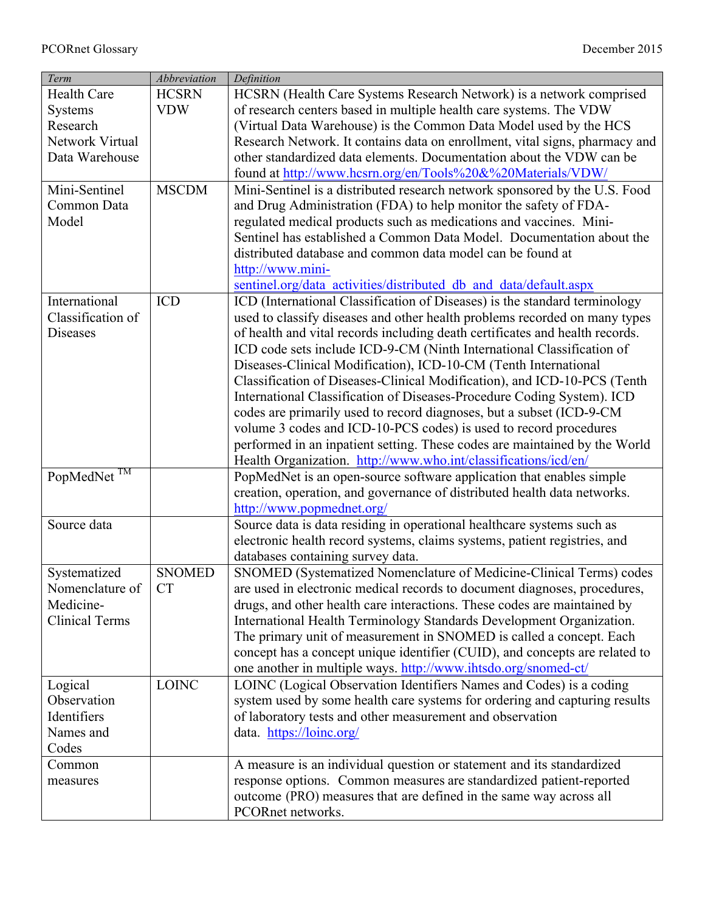| Term                    | <b>Abbreviation</b> | Definition                                                                                                                              |
|-------------------------|---------------------|-----------------------------------------------------------------------------------------------------------------------------------------|
| <b>Health Care</b>      | <b>HCSRN</b>        | HCSRN (Health Care Systems Research Network) is a network comprised                                                                     |
| <b>Systems</b>          | <b>VDW</b>          | of research centers based in multiple health care systems. The VDW                                                                      |
| Research                |                     | (Virtual Data Warehouse) is the Common Data Model used by the HCS                                                                       |
| Network Virtual         |                     | Research Network. It contains data on enrollment, vital signs, pharmacy and                                                             |
| Data Warehouse          |                     | other standardized data elements. Documentation about the VDW can be                                                                    |
|                         |                     | found at http://www.hcsrn.org/en/Tools%20&%20Materials/VDW/                                                                             |
| Mini-Sentinel           | <b>MSCDM</b>        | Mini-Sentinel is a distributed research network sponsored by the U.S. Food                                                              |
| Common Data             |                     | and Drug Administration (FDA) to help monitor the safety of FDA-                                                                        |
| Model                   |                     | regulated medical products such as medications and vaccines. Mini-                                                                      |
|                         |                     | Sentinel has established a Common Data Model. Documentation about the                                                                   |
|                         |                     | distributed database and common data model can be found at                                                                              |
|                         |                     | http://www.mini-                                                                                                                        |
|                         |                     | sentinel.org/data activities/distributed db and data/default.aspx                                                                       |
| International           | <b>ICD</b>          | ICD (International Classification of Diseases) is the standard terminology                                                              |
| Classification of       |                     | used to classify diseases and other health problems recorded on many types                                                              |
| <b>Diseases</b>         |                     | of health and vital records including death certificates and health records.                                                            |
|                         |                     | ICD code sets include ICD-9-CM (Ninth International Classification of                                                                   |
|                         |                     | Diseases-Clinical Modification), ICD-10-CM (Tenth International                                                                         |
|                         |                     | Classification of Diseases-Clinical Modification), and ICD-10-PCS (Tenth                                                                |
|                         |                     | International Classification of Diseases-Procedure Coding System). ICD                                                                  |
|                         |                     | codes are primarily used to record diagnoses, but a subset (ICD-9-CM                                                                    |
|                         |                     | volume 3 codes and ICD-10-PCS codes) is used to record procedures                                                                       |
|                         |                     |                                                                                                                                         |
|                         |                     | performed in an inpatient setting. These codes are maintained by the World                                                              |
| PopMedNet <sup>TM</sup> |                     | Health Organization. http://www.who.int/classifications/icd/en/<br>PopMedNet is an open-source software application that enables simple |
|                         |                     | creation, operation, and governance of distributed health data networks.                                                                |
|                         |                     |                                                                                                                                         |
| Source data             |                     | http://www.popmednet.org/<br>Source data is data residing in operational healthcare systems such as                                     |
|                         |                     |                                                                                                                                         |
|                         |                     | electronic health record systems, claims systems, patient registries, and                                                               |
|                         | <b>SNOMED</b>       | databases containing survey data.                                                                                                       |
| Systematized            | <b>CT</b>           | SNOMED (Systematized Nomenclature of Medicine-Clinical Terms) codes                                                                     |
| Nomenclature of         |                     | are used in electronic medical records to document diagnoses, procedures,                                                               |
| Medicine-               |                     | drugs, and other health care interactions. These codes are maintained by                                                                |
| <b>Clinical Terms</b>   |                     | International Health Terminology Standards Development Organization.                                                                    |
|                         |                     | The primary unit of measurement in SNOMED is called a concept. Each                                                                     |
|                         |                     | concept has a concept unique identifier (CUID), and concepts are related to                                                             |
|                         |                     | one another in multiple ways. http://www.ihtsdo.org/snomed-ct/                                                                          |
| Logical                 | <b>LOINC</b>        | LOINC (Logical Observation Identifiers Names and Codes) is a coding                                                                     |
| Observation             |                     | system used by some health care systems for ordering and capturing results                                                              |
| Identifiers             |                     | of laboratory tests and other measurement and observation                                                                               |
| Names and               |                     | data. https://loinc.org/                                                                                                                |
| Codes                   |                     |                                                                                                                                         |
| Common                  |                     | A measure is an individual question or statement and its standardized                                                                   |
| measures                |                     | response options. Common measures are standardized patient-reported                                                                     |
|                         |                     | outcome (PRO) measures that are defined in the same way across all                                                                      |
|                         |                     | PCORnet networks.                                                                                                                       |